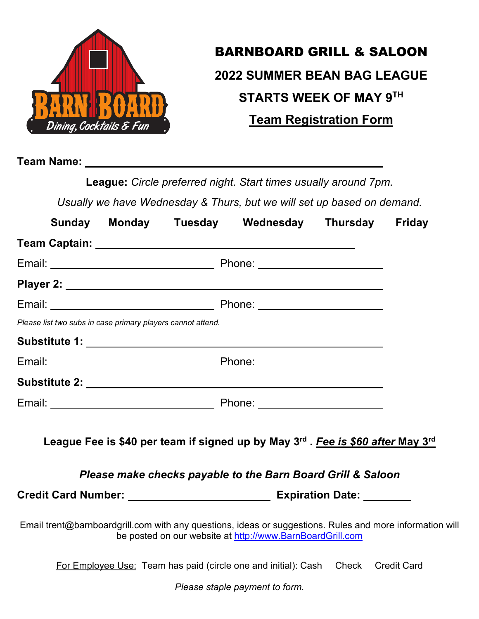

## BARNBOARD GRILL & SALOON **2022 SUMMER BEAN BAG LEAGUE STARTS WEEK OF MAY 9TH Team Registration Form**

**Team Name:** 

**League:** *Circle preferred night. Start times usually around 7pm.*

*Usually we have Wednesday & Thurs, but we will set up based on demand.*

|                                                                                                          |  |  | Sunday Monday Tuesday Wednesday Thursday                                                                                                      |  | <b>Friday</b> |
|----------------------------------------------------------------------------------------------------------|--|--|-----------------------------------------------------------------------------------------------------------------------------------------------|--|---------------|
|                                                                                                          |  |  |                                                                                                                                               |  |               |
|                                                                                                          |  |  |                                                                                                                                               |  |               |
|                                                                                                          |  |  |                                                                                                                                               |  |               |
|                                                                                                          |  |  |                                                                                                                                               |  |               |
| Please list two subs in case primary players cannot attend.                                              |  |  |                                                                                                                                               |  |               |
|                                                                                                          |  |  |                                                                                                                                               |  |               |
|                                                                                                          |  |  |                                                                                                                                               |  |               |
|                                                                                                          |  |  |                                                                                                                                               |  |               |
|                                                                                                          |  |  |                                                                                                                                               |  |               |
|                                                                                                          |  |  | League Fee is \$40 per team if signed up by May 3rd. Fee is \$60 after May 3rd<br>Please make checks payable to the Barn Board Grill & Saloon |  |               |
|                                                                                                          |  |  |                                                                                                                                               |  |               |
| Email trent@barnboardgrill.com with any questions, ideas or suggestions. Rules and more information will |  |  | be posted on our website at http://www.BarnBoardGrill.com                                                                                     |  |               |

For Employee Use: Team has paid (circle one and initial): Cash Check Credit Card

*Please staple payment to form.*